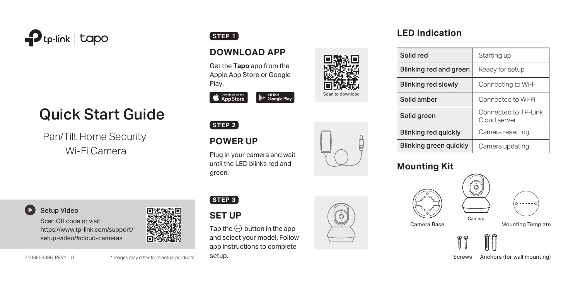

# Quick Start Guide

Pan/Tilt Home Security Wi-Fi Camera

### Setup Video

Scan QR code or visit https://www.tp-link.com/support/ setup-video/#cloud-cameras



7106509386 REV1.1.0 \*Images may differ from actual products.

# **STEP 1**

# **DOWNLOAD APP**

Get the **Tapo** app from the Apple App Store or Google Play.



#### **STEP 2**

setup.

**SET UP STEP 3**

# **POWER UP**

Plug in your camera and wait until the LED blinks red and green.

Tap the  $\left(\frac{1}{2}\right)$  button in the app and select your model. Follow app instructions to complete



 $\circledcirc$ 

Scan to download

# **LED Indication**

| Solid red                   | Starting up                          |
|-----------------------------|--------------------------------------|
| Blinking red and green      | Ready for setup                      |
| <b>Blinking red slowly</b>  | Connecting to Wi-Fi                  |
| Solid amber                 | Connected to Wi-Fi                   |
| Solid green                 | Connected to TP-Link<br>Cloud server |
| <b>Blinking red quickly</b> | Camera resetting                     |
| Blinking green guickly      | Camera updating                      |

### **Mounting Kit**





Camera Base Mounting Template



Camera

 $\circ$ 

Screws Anchors (for wall mounting)